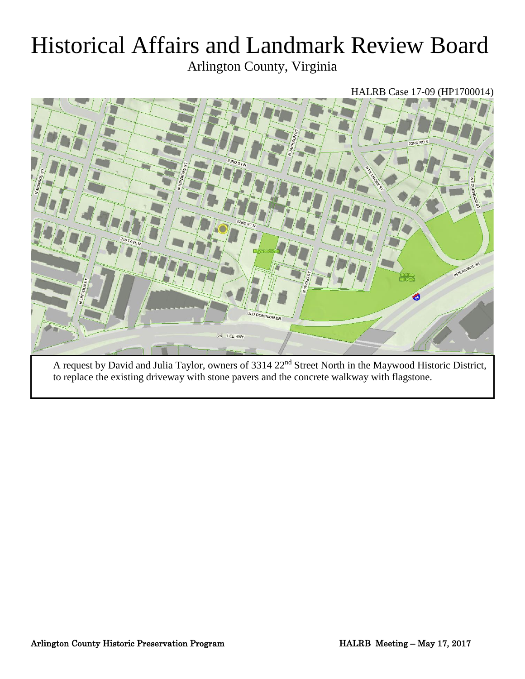# Historical Affairs and Landmark Review Board

Arlington County, Virginia

## HALRB Case 17-09 (HP1700014)



A request by David and Julia Taylor, owners of 3314 22nd Street North in the Maywood Historic District, to replace the existing driveway with stone pavers and the concrete walkway with flagstone.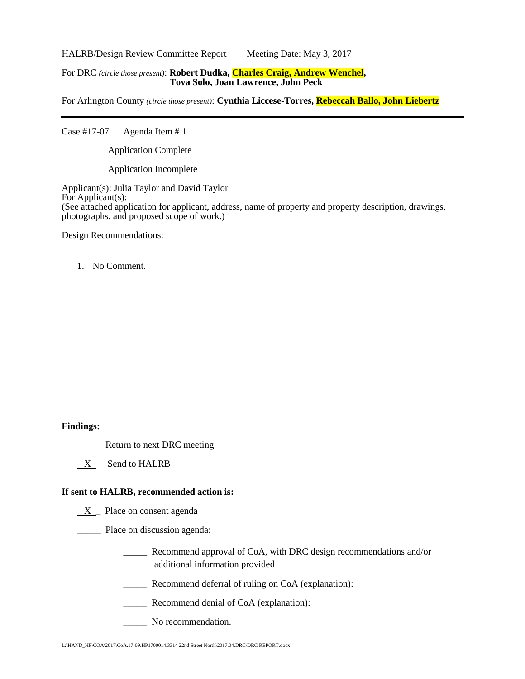HALRB/Design Review Committee Report Meeting Date: May 3, 2017

#### For DRC *(circle those present)*: **Robert Dudka, Charles Craig, Andrew Wenchel, Tova Solo, Joan Lawrence, John Peck**

For Arlington County *(circle those present)*: **Cynthia Liccese-Torres, Rebeccah Ballo, John Liebertz**

Case #17-07 Agenda Item # 1

Application Complete

Application Incomplete

Applicant(s): Julia Taylor and David Taylor For Applicant(s): (See attached application for applicant, address, name of property and property description, drawings, photographs, and proposed scope of work.)

Design Recommendations:

1. No Comment.

#### **Findings:**

- Return to next DRC meeting
- X Send to HALRB

#### **If sent to HALRB, recommended action is:**

 $X$  Place on consent agenda

\_\_\_\_\_ Place on discussion agenda:

- \_\_\_\_\_ Recommend approval of CoA, with DRC design recommendations and/or additional information provided
- \_\_\_\_\_ Recommend deferral of ruling on CoA (explanation):
- \_\_\_\_\_ Recommend denial of CoA (explanation):
- No recommendation.